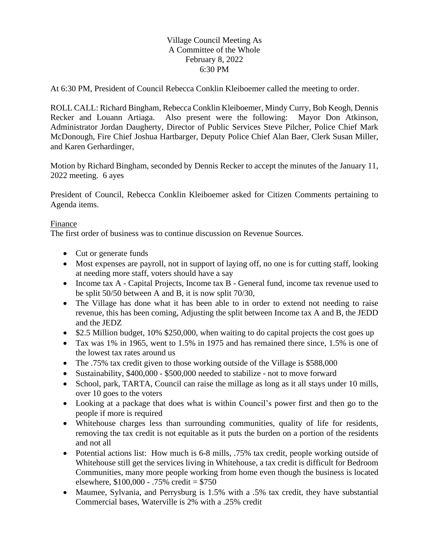## Village Council Meeting As A Committee of the Whole February 8, 2022 6:30 PM

At 6:30 PM, President of Council Rebecca Conklin Kleiboemer called the meeting to order.

ROLL CALL: Richard Bingham, Rebecca Conklin Kleiboemer, Mindy Curry, Bob Keogh, Dennis Recker and Louann Artiaga. Also present were the following: Mayor Don Atkinson, Administrator Jordan Daugherty, Director of Public Services Steve Pilcher, Police Chief Mark McDonough, Fire Chief Joshua Hartbarger, Deputy Police Chief Alan Baer, Clerk Susan Miller, and Karen Gerhardinger,

Motion by Richard Bingham, seconded by Dennis Recker to accept the minutes of the January 11, 2022 meeting. 6 ayes

President of Council, Rebecca Conklin Kleiboemer asked for Citizen Comments pertaining to Agenda items.

## Finance

The first order of business was to continue discussion on Revenue Sources.

- Cut or generate funds
- Most expenses are payroll, not in support of laying off, no one is for cutting staff, looking at needing more staff, voters should have a say
- Income tax A Capital Projects, Income tax B General fund, income tax revenue used to be split 50/50 between A and B, it is now split 70/30,
- The Village has done what it has been able to in order to extend not needing to raise revenue, this has been coming, Adjusting the split between Income tax A and B, the JEDD and the JEDZ
- \$2.5 Million budget, 10% \$250,000, when waiting to do capital projects the cost goes up
- Tax was 1% in 1965, went to 1.5% in 1975 and has remained there since, 1.5% is one of the lowest tax rates around us
- The .75% tax credit given to those working outside of the Village is \$588,000
- Sustainability, \$400,000 \$500,000 needed to stabilize not to move forward
- School, park, TARTA, Council can raise the millage as long as it all stays under 10 mills, over 10 goes to the voters
- Looking at a package that does what is within Council's power first and then go to the people if more is required
- Whitehouse charges less than surrounding communities, quality of life for residents, removing the tax credit is not equitable as it puts the burden on a portion of the residents and not all
- Potential actions list: How much is 6-8 mills, .75% tax credit, people working outside of Whitehouse still get the services living in Whitehouse, a tax credit is difficult for Bedroom Communities, many more people working from home even though the business is located elsewhere, \$100,000 - .75% credit = \$750
- Maumee, Sylvania, and Perrysburg is 1.5% with a .5% tax credit, they have substantial Commercial bases, Waterville is 2% with a .25% credit